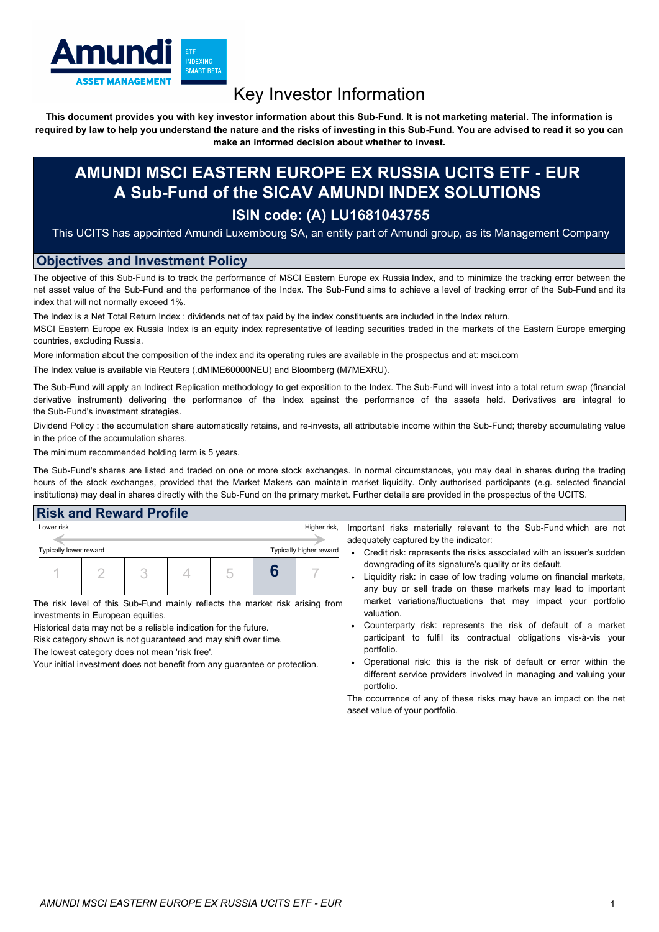

# Key Investor Information

This document provides you with key investor information about this Sub-Fund. It is not marketing material. The information is required by law to help you understand the nature and the risks of investing in this Sub-Fund. You are advised to read it so you can **make an informed decision about whether to invest.**

## **AMUNDI MSCI EASTERN EUROPE EX RUSSIA UCITS ETF - EUR A Sub-Fund of the SICAV AMUNDI INDEX SOLUTIONS ISIN code: (A) LU1681043755**

This UCITS has appointed Amundi Luxembourg SA, an entity part of Amundi group, as its Management Company

#### **Objectives and Investment Policy**

The objective of this Sub-Fund is to track the performance of MSCI Eastern Europe ex Russia Index, and to minimize the tracking error between the net asset value of the Sub-Fund and the performance of the Index. The Sub-Fund aims to achieve a level of tracking error of the Sub-Fund and its index that will not normally exceed 1%.

The Index is a Net Total Return Index : dividends net of tax paid by the index constituents are included in the Index return.

MSCI Eastern Europe ex Russia Index is an equity index representative of leading securities traded in the markets of the Eastern Europe emerging countries, excluding Russia.

More information about the composition of the index and its operating rules are available in the prospectus and at: msci.com

The Index value is available via Reuters (.dMIME60000NEU) and Bloomberg (M7MEXRU).

The Sub-Fund will apply an Indirect Replication methodology to get exposition to the Index. The Sub-Fund will invest into a total return swap (financial derivative instrument) delivering the performance of the Index against the performance of the assets held. Derivatives are integral to the Sub-Fund's investment strategies.

Dividend Policy : the accumulation share automatically retains, and re-invests, all attributable income within the Sub-Fund; thereby accumulating value in the price of the accumulation shares.

The minimum recommended holding term is 5 years.

The Sub-Fund's shares are listed and traded on one or more stock exchanges. In normal circumstances, you may deal in shares during the trading hours of the stock exchanges, provided that the Market Makers can maintain market liquidity. Only authorised participants (e.g. selected financial institutions) may deal in shares directly with the Sub-Fund on the primary market. Further details are provided in the prospectus of the UCITS.

### **Risk and Reward Profile**

| Lower risk,            |  |                         |  |    |  | Higher risk, |           |
|------------------------|--|-------------------------|--|----|--|--------------|-----------|
|                        |  |                         |  |    |  |              | adequ     |
| Typically lower reward |  | Typically higher reward |  | Cr |  |              |           |
|                        |  |                         |  |    |  |              | do<br>Lio |
|                        |  |                         |  |    |  |              | an        |

The risk level of this Sub-Fund mainly reflects the market risk arising from investments in European equities.

Historical data may not be a reliable indication for the future.

Risk category shown is not guaranteed and may shift over time. The lowest category does not mean 'risk free'.

Your initial investment does not benefit from any guarantee or protection.

ant risks materially relevant to the Sub-Fund which are not ately captured by the indicator:

- redit risk: represents the risks associated with an issuer's sudden wngrading of its signature's quality or its default.
- quidity risk: in case of low trading volume on financial markets, iy buy or sell trade on these markets may lead to important market variations/fluctuations that may impact your portfolio valuation.
- Counterparty risk: represents the risk of default of a market participant to fulfil its contractual obligations vis-à-vis your portfolio.
- Operational risk: this is the risk of default or error within the different service providers involved in managing and valuing your portfolio.

The occurrence of any of these risks may have an impact on the net asset value of your portfolio.